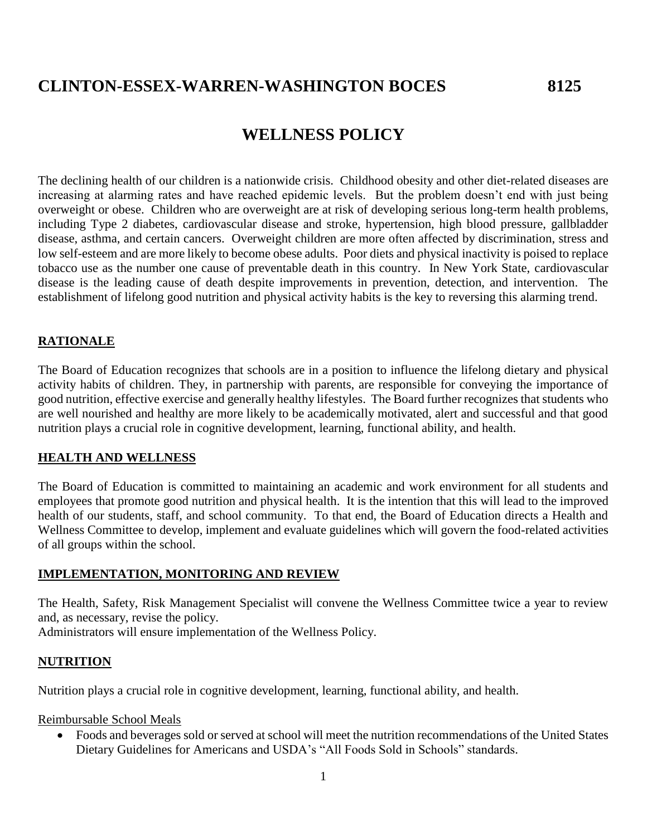# **CLINTON-ESSEX-WARREN-WASHINGTON BOCES 8125**

## **WELLNESS POLICY**

The declining health of our children is a nationwide crisis. Childhood obesity and other diet-related diseases are increasing at alarming rates and have reached epidemic levels. But the problem doesn't end with just being overweight or obese. Children who are overweight are at risk of developing serious long-term health problems, including Type 2 diabetes, cardiovascular disease and stroke, hypertension, high blood pressure, gallbladder disease, asthma, and certain cancers. Overweight children are more often affected by discrimination, stress and low self-esteem and are more likely to become obese adults. Poor diets and physical inactivity is poised to replace tobacco use as the number one cause of preventable death in this country. In New York State, cardiovascular disease is the leading cause of death despite improvements in prevention, detection, and intervention. The establishment of lifelong good nutrition and physical activity habits is the key to reversing this alarming trend.

## **RATIONALE**

The Board of Education recognizes that schools are in a position to influence the lifelong dietary and physical activity habits of children. They, in partnership with parents, are responsible for conveying the importance of good nutrition, effective exercise and generally healthy lifestyles. The Board further recognizes that students who are well nourished and healthy are more likely to be academically motivated, alert and successful and that good nutrition plays a crucial role in cognitive development, learning, functional ability, and health.

### **HEALTH AND WELLNESS**

The Board of Education is committed to maintaining an academic and work environment for all students and employees that promote good nutrition and physical health. It is the intention that this will lead to the improved health of our students, staff, and school community. To that end, the Board of Education directs a Health and Wellness Committee to develop, implement and evaluate guidelines which will govern the food-related activities of all groups within the school.

### **IMPLEMENTATION, MONITORING AND REVIEW**

The Health, Safety, Risk Management Specialist will convene the Wellness Committee twice a year to review and, as necessary, revise the policy.

Administrators will ensure implementation of the Wellness Policy.

### **NUTRITION**

Nutrition plays a crucial role in cognitive development, learning, functional ability, and health.

#### Reimbursable School Meals

 Foods and beverages sold or served at school will meet the nutrition recommendations of the United States Dietary Guidelines for Americans and USDA's "All Foods Sold in Schools" standards.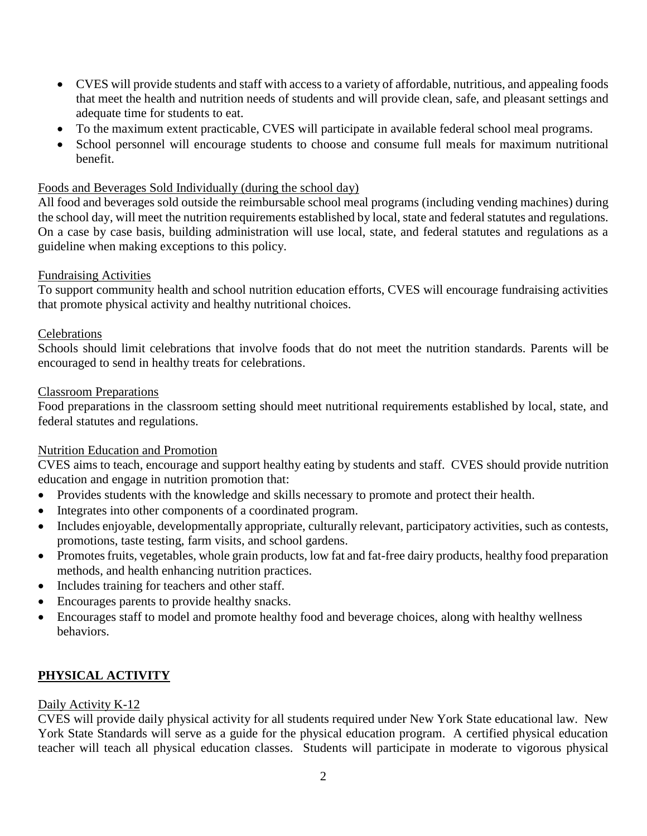- CVES will provide students and staff with access to a variety of affordable, nutritious, and appealing foods that meet the health and nutrition needs of students and will provide clean, safe, and pleasant settings and adequate time for students to eat.
- To the maximum extent practicable, CVES will participate in available federal school meal programs.
- School personnel will encourage students to choose and consume full meals for maximum nutritional benefit.

## Foods and Beverages Sold Individually (during the school day)

All food and beverages sold outside the reimbursable school meal programs (including vending machines) during the school day, will meet the nutrition requirements established by local, state and federal statutes and regulations. On a case by case basis, building administration will use local, state, and federal statutes and regulations as a guideline when making exceptions to this policy.

### Fundraising Activities

To support community health and school nutrition education efforts, CVES will encourage fundraising activities that promote physical activity and healthy nutritional choices.

### Celebrations

Schools should limit celebrations that involve foods that do not meet the nutrition standards. Parents will be encouraged to send in healthy treats for celebrations.

### Classroom Preparations

Food preparations in the classroom setting should meet nutritional requirements established by local, state, and federal statutes and regulations.

## Nutrition Education and Promotion

CVES aims to teach, encourage and support healthy eating by students and staff. CVES should provide nutrition education and engage in nutrition promotion that:

- Provides students with the knowledge and skills necessary to promote and protect their health.
- Integrates into other components of a coordinated program.
- Includes enjoyable, developmentally appropriate, culturally relevant, participatory activities, such as contests, promotions, taste testing, farm visits, and school gardens.
- Promotes fruits, vegetables, whole grain products, low fat and fat-free dairy products, healthy food preparation methods, and health enhancing nutrition practices.
- Includes training for teachers and other staff.
- Encourages parents to provide healthy snacks.
- Encourages staff to model and promote healthy food and beverage choices, along with healthy wellness behaviors.

## **PHYSICAL ACTIVITY**

### Daily Activity K-12

CVES will provide daily physical activity for all students required under New York State educational law. New York State Standards will serve as a guide for the physical education program. A certified physical education teacher will teach all physical education classes. Students will participate in moderate to vigorous physical